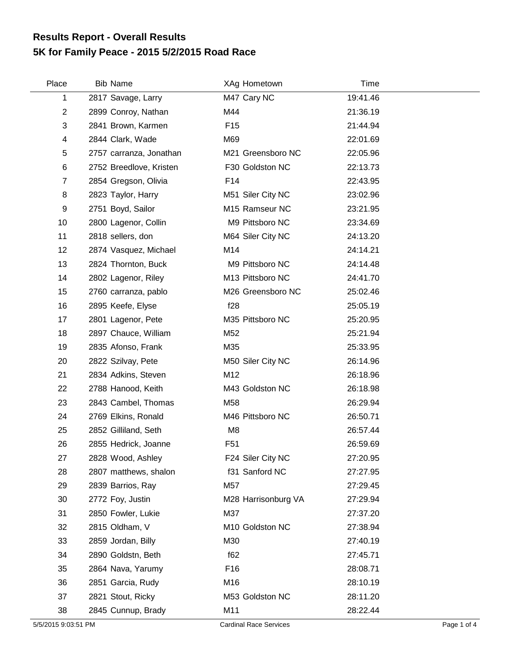## **5K for Family Peace - 2015 5/2/2015 Road Race Results Report - Overall Results**

| Place          | <b>Bib Name</b>         | XAg Hometown        | Time     |
|----------------|-------------------------|---------------------|----------|
| 1              | 2817 Savage, Larry      | M47 Cary NC         | 19:41.46 |
| $\overline{2}$ | 2899 Conroy, Nathan     | M44                 | 21:36.19 |
| 3              | 2841 Brown, Karmen      | F <sub>15</sub>     | 21:44.94 |
| 4              | 2844 Clark, Wade        | M69                 | 22:01.69 |
| 5              | 2757 carranza, Jonathan | M21 Greensboro NC   | 22:05.96 |
| 6              | 2752 Breedlove, Kristen | F30 Goldston NC     | 22:13.73 |
| $\overline{7}$ | 2854 Gregson, Olivia    | F <sub>14</sub>     | 22:43.95 |
| 8              | 2823 Taylor, Harry      | M51 Siler City NC   | 23:02.96 |
| 9              | 2751 Boyd, Sailor       | M15 Ramseur NC      | 23:21.95 |
| 10             | 2800 Lagenor, Collin    | M9 Pittsboro NC     | 23:34.69 |
| 11             | 2818 sellers, don       | M64 Siler City NC   | 24:13.20 |
| 12             | 2874 Vasquez, Michael   | M14                 | 24:14.21 |
| 13             | 2824 Thornton, Buck     | M9 Pittsboro NC     | 24:14.48 |
| 14             | 2802 Lagenor, Riley     | M13 Pittsboro NC    | 24:41.70 |
| 15             | 2760 carranza, pablo    | M26 Greensboro NC   | 25:02.46 |
| 16             | 2895 Keefe, Elyse       | f28                 | 25:05.19 |
| 17             | 2801 Lagenor, Pete      | M35 Pittsboro NC    | 25:20.95 |
| 18             | 2897 Chauce, William    | M52                 | 25:21.94 |
| 19             | 2835 Afonso, Frank      | M35                 | 25:33.95 |
| 20             | 2822 Szilvay, Pete      | M50 Siler City NC   | 26:14.96 |
| 21             | 2834 Adkins, Steven     | M12                 | 26:18.96 |
| 22             | 2788 Hanood, Keith      | M43 Goldston NC     | 26:18.98 |
| 23             | 2843 Cambel, Thomas     | M58                 | 26:29.94 |
| 24             | 2769 Elkins, Ronald     | M46 Pittsboro NC    | 26:50.71 |
| 25             | 2852 Gilliland, Seth    | M <sub>8</sub>      | 26:57.44 |
| 26             | 2855 Hedrick, Joanne    | F <sub>51</sub>     | 26:59.69 |
| 27             | 2828 Wood, Ashley       | F24 Siler City NC   | 27:20.95 |
| 28             | 2807 matthews, shalon   | f31 Sanford NC      | 27:27.95 |
| 29             | 2839 Barrios, Ray       | M57                 | 27:29.45 |
| 30             | 2772 Foy, Justin        | M28 Harrisonburg VA | 27:29.94 |
| 31             | 2850 Fowler, Lukie      | M37                 | 27:37.20 |
| 32             | 2815 Oldham, V          | M10 Goldston NC     | 27:38.94 |
| 33             | 2859 Jordan, Billy      | M30                 | 27:40.19 |
| 34             | 2890 Goldstn, Beth      | f62                 | 27:45.71 |
| 35             | 2864 Nava, Yarumy       | F <sub>16</sub>     | 28:08.71 |
| 36             | 2851 Garcia, Rudy       | M16                 | 28:10.19 |
| 37             | 2821 Stout, Ricky       | M53 Goldston NC     | 28:11.20 |
| 38             | 2845 Cunnup, Brady      | M11                 | 28:22.44 |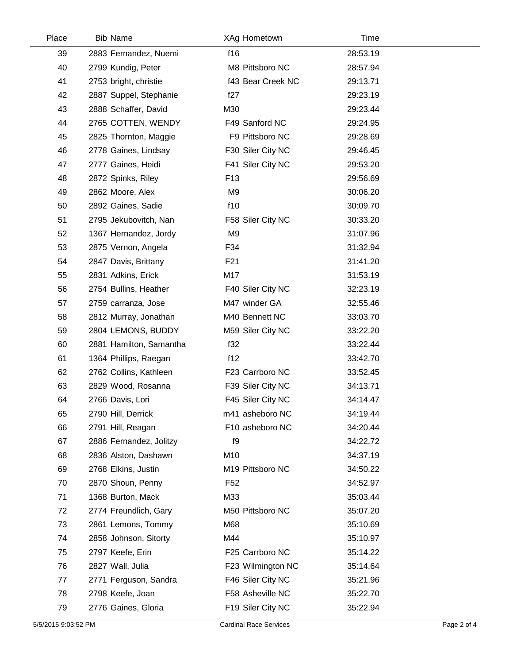| Place | <b>Bib Name</b>         | XAg Hometown      | Time     |  |
|-------|-------------------------|-------------------|----------|--|
| 39    | 2883 Fernandez, Nuemi   | f16               | 28:53.19 |  |
| 40    | 2799 Kundig, Peter      | M8 Pittsboro NC   | 28:57.94 |  |
| 41    | 2753 bright, christie   | f43 Bear Creek NC | 29:13.71 |  |
| 42    | 2887 Suppel, Stephanie  | f27               | 29:23.19 |  |
| 43    | 2888 Schaffer, David    | M30               | 29:23.44 |  |
| 44    | 2765 COTTEN, WENDY      | F49 Sanford NC    | 29:24.95 |  |
| 45    | 2825 Thornton, Maggie   | F9 Pittsboro NC   | 29:28.69 |  |
| 46    | 2778 Gaines, Lindsay    | F30 Siler City NC | 29:46.45 |  |
| 47    | 2777 Gaines, Heidi      | F41 Siler City NC | 29:53.20 |  |
| 48    | 2872 Spinks, Riley      | F <sub>13</sub>   | 29:56.69 |  |
| 49    | 2862 Moore, Alex        | M9                | 30:06.20 |  |
| 50    | 2892 Gaines, Sadie      | f10               | 30:09.70 |  |
| 51    | 2795 Jekubovitch, Nan   | F58 Siler City NC | 30:33.20 |  |
| 52    | 1367 Hernandez, Jordy   | M <sub>9</sub>    | 31:07.96 |  |
| 53    | 2875 Vernon, Angela     | F34               | 31:32.94 |  |
| 54    | 2847 Davis, Brittany    | F <sub>21</sub>   | 31:41.20 |  |
| 55    | 2831 Adkins, Erick      | M17               | 31:53.19 |  |
| 56    | 2754 Bullins, Heather   | F40 Siler City NC | 32:23.19 |  |
| 57    | 2759 carranza, Jose     | M47 winder GA     | 32:55.46 |  |
| 58    | 2812 Murray, Jonathan   | M40 Bennett NC    | 33:03.70 |  |
| 59    | 2804 LEMONS, BUDDY      | M59 Siler City NC | 33:22.20 |  |
| 60    | 2881 Hamilton, Samantha | f32               | 33:22.44 |  |
| 61    | 1364 Phillips, Raegan   | f12               | 33:42.70 |  |
| 62    | 2762 Collins, Kathleen  | F23 Carrboro NC   | 33:52.45 |  |
| 63    | 2829 Wood, Rosanna      | F39 Siler City NC | 34:13.71 |  |
| 64    | 2766 Davis, Lori        | F45 Siler City NC | 34:14.47 |  |
| 65    | 2790 Hill, Derrick      | m41 asheboro NC   | 34:19.44 |  |
| 66    | 2791 Hill, Reagan       | F10 asheboro NC   | 34:20.44 |  |
| 67    | 2886 Fernandez, Jolitzy | f9                | 34:22.72 |  |
| 68    | 2836 Alston, Dashawn    | M10               | 34:37.19 |  |
| 69    | 2768 Elkins, Justin     | M19 Pittsboro NC  | 34:50.22 |  |
| 70    | 2870 Shoun, Penny       | F <sub>52</sub>   | 34:52.97 |  |
| 71    | 1368 Burton, Mack       | M33               | 35:03.44 |  |
| 72    | 2774 Freundlich, Gary   | M50 Pittsboro NC  | 35:07.20 |  |
| 73    | 2861 Lemons, Tommy      | M68               | 35:10.69 |  |
| 74    | 2858 Johnson, Sitorty   | M44               | 35:10.97 |  |
| 75    | 2797 Keefe, Erin        | F25 Carrboro NC   | 35:14.22 |  |
| 76    | 2827 Wall, Julia        | F23 Wilmington NC | 35:14.64 |  |
| 77    | 2771 Ferguson, Sandra   | F46 Siler City NC | 35:21.96 |  |
| 78    | 2798 Keefe, Joan        | F58 Asheville NC  | 35:22.70 |  |
| 79    | 2776 Gaines, Gloria     | F19 Siler City NC | 35:22.94 |  |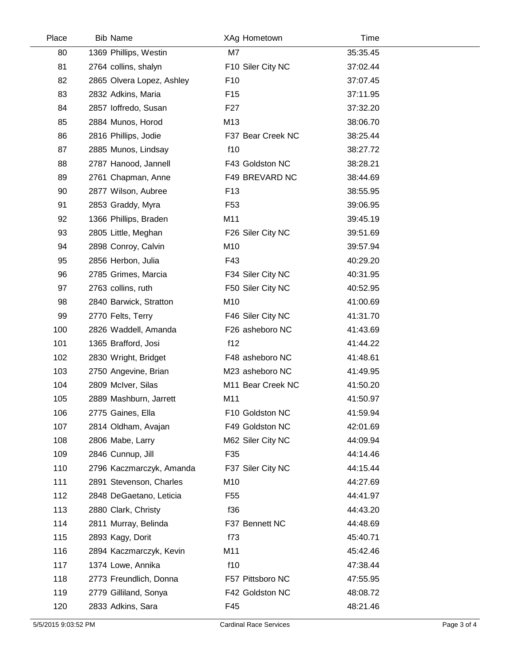| Place | <b>Bib Name</b>           | XAg Hometown      | Time     |
|-------|---------------------------|-------------------|----------|
| 80    | 1369 Phillips, Westin     | M7                | 35:35.45 |
| 81    | 2764 collins, shalyn      | F10 Siler City NC | 37:02.44 |
| 82    | 2865 Olvera Lopez, Ashley | F <sub>10</sub>   | 37:07.45 |
| 83    | 2832 Adkins, Maria        | F <sub>15</sub>   | 37:11.95 |
| 84    | 2857 loffredo, Susan      | F <sub>27</sub>   | 37:32.20 |
| 85    | 2884 Munos, Horod         | M13               | 38:06.70 |
| 86    | 2816 Phillips, Jodie      | F37 Bear Creek NC | 38:25.44 |
| 87    | 2885 Munos, Lindsay       | f10               | 38:27.72 |
| 88    | 2787 Hanood, Jannell      | F43 Goldston NC   | 38:28.21 |
| 89    | 2761 Chapman, Anne        | F49 BREVARD NC    | 38:44.69 |
| 90    | 2877 Wilson, Aubree       | F <sub>13</sub>   | 38:55.95 |
| 91    | 2853 Graddy, Myra         | F <sub>53</sub>   | 39:06.95 |
| 92    | 1366 Phillips, Braden     | M11               | 39:45.19 |
| 93    | 2805 Little, Meghan       | F26 Siler City NC | 39:51.69 |
| 94    | 2898 Conroy, Calvin       | M10               | 39:57.94 |
| 95    | 2856 Herbon, Julia        | F43               | 40:29.20 |
| 96    | 2785 Grimes, Marcia       | F34 Siler City NC | 40:31.95 |
| 97    | 2763 collins, ruth        | F50 Siler City NC | 40:52.95 |
| 98    | 2840 Barwick, Stratton    | M10               | 41:00.69 |
| 99    | 2770 Felts, Terry         | F46 Siler City NC | 41:31.70 |
| 100   | 2826 Waddell, Amanda      | F26 asheboro NC   | 41:43.69 |
| 101   | 1365 Brafford, Josi       | f12               | 41:44.22 |
| 102   | 2830 Wright, Bridget      | F48 asheboro NC   | 41:48.61 |
| 103   | 2750 Angevine, Brian      | M23 asheboro NC   | 41:49.95 |
| 104   | 2809 McIver, Silas        | M11 Bear Creek NC | 41:50.20 |
| 105   | 2889 Mashburn, Jarrett    | M11               | 41:50.97 |
| 106   | 2775 Gaines, Ella         | F10 Goldston NC   | 41:59.94 |
| 107   | 2814 Oldham, Avajan       | F49 Goldston NC   | 42:01.69 |
| 108   | 2806 Mabe, Larry          | M62 Siler City NC | 44:09.94 |
| 109   | 2846 Cunnup, Jill         | F35               | 44:14.46 |
| 110   | 2796 Kaczmarczyk, Amanda  | F37 Siler City NC | 44:15.44 |
| 111   | 2891 Stevenson, Charles   | M10               | 44:27.69 |
| 112   | 2848 DeGaetano, Leticia   | F <sub>55</sub>   | 44:41.97 |
| 113   | 2880 Clark, Christy       | f36               | 44:43.20 |
| 114   | 2811 Murray, Belinda      | F37 Bennett NC    | 44:48.69 |
| 115   | 2893 Kagy, Dorit          | f73               | 45:40.71 |
| 116   | 2894 Kaczmarczyk, Kevin   | M11               | 45:42.46 |
| 117   | 1374 Lowe, Annika         | f10               | 47:38.44 |
| 118   | 2773 Freundlich, Donna    | F57 Pittsboro NC  | 47:55.95 |
| 119   | 2779 Gilliland, Sonya     | F42 Goldston NC   | 48:08.72 |
| 120   | 2833 Adkins, Sara         | F45               | 48:21.46 |